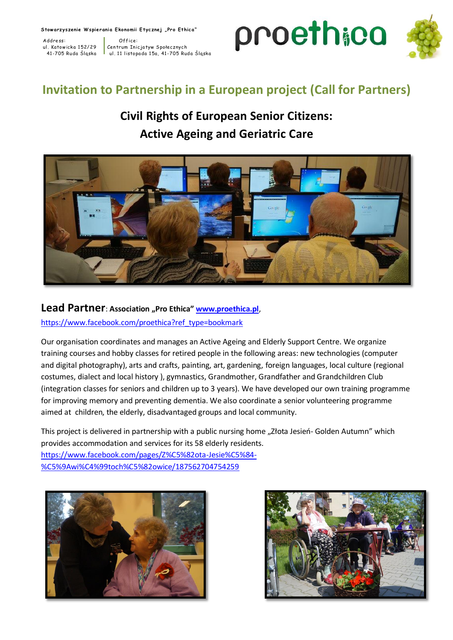Stow arzyszenie W spierania Ekonomii Etycznej "Pro Ethica"

Address: 0ffice<br>ul. Katowicka 152/29 Centrum Ini

Centrum Inicjatyw Społecznych 41-705 Ruda Śląska do ul. 11 listopada 15a, 41-705 Ruda Śląska



# **Invitation to Partnership in a European project (Call for Partners)**

# **Civil Rights of European Senior Citizens: Active Ageing and Geriatric Care**



#### Lead Partner: Association "Pro Ethica" **[www.proethica.pl](http://www.proethica.pl/)**,

[https://www.facebook.com/proethica?ref\\_type=bookmark](https://www.facebook.com/proethica?ref_type=bookmark)

Our organisation coordinates and manages an Active Ageing and Elderly Support Centre. We organize training courses and hobby classes for retired people in the following areas: new technologies (computer and digital photography), arts and crafts, painting, art, gardening, foreign languages, local culture (regional costumes, dialect and local history ), gymnastics, Grandmother, Grandfather and Grandchildren Club (integration classes for seniors and children up to 3 years). We have developed our own training programme for improving memory and preventing dementia. We also coordinate a senior volunteering programme aimed at children, the elderly, disadvantaged groups and local community.

This project is delivered in partnership with a public nursing home "Złota Jesień- Golden Autumn" which provides accommodation and services for its 58 elderly residents. [https://www.facebook.com/pages/Z%C5%82ota-Jesie%C5%84-](https://www.facebook.com/pages/Z%C5%82ota-Jesie%C5%84-%C5%9Awi%C4%99toch%C5%82owice/187562704754259) [%C5%9Awi%C4%99toch%C5%82owice/187562704754259](https://www.facebook.com/pages/Z%C5%82ota-Jesie%C5%84-%C5%9Awi%C4%99toch%C5%82owice/187562704754259)



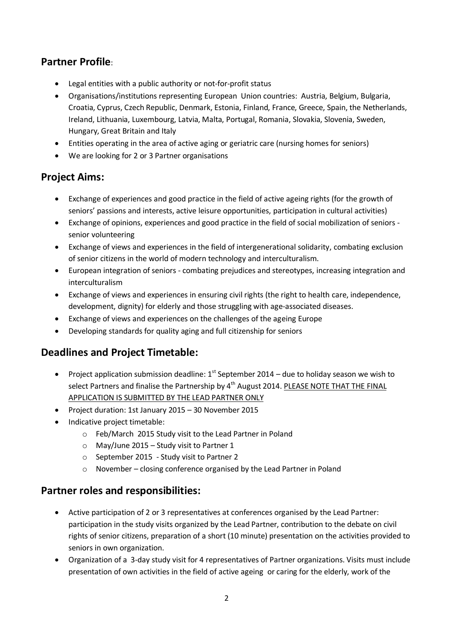# **Partner Profile**:

- Legal entities with a public authority or not-for-profit status
- Organisations/institutions representing European Union countries: Austria, Belgium, Bulgaria, Croatia, Cyprus, Czech Republic, Denmark, Estonia, Finland, France, Greece, Spain, the Netherlands, Ireland, Lithuania, Luxembourg, Latvia, Malta, Portugal, Romania, Slovakia, Slovenia, Sweden, Hungary, Great Britain and Italy
- Entities operating in the area of active aging or geriatric care (nursing homes for seniors)
- We are looking for 2 or 3 Partner organisations

## **Project Aims:**

- Exchange of experiences and good practice in the field of active ageing rights (for the growth of seniors' passions and interests, active leisure opportunities, participation in cultural activities)
- Exchange of opinions, experiences and good practice in the field of social mobilization of seniors senior volunteering
- Exchange of views and experiences in the field of intergenerational solidarity, combating exclusion of senior citizens in the world of modern technology and interculturalism.
- European integration of seniors combating prejudices and stereotypes, increasing integration and interculturalism
- Exchange of views and experiences in ensuring civil rights (the right to health care, independence, development, dignity) for elderly and those struggling with age-associated diseases.
- Exchange of views and experiences on the challenges of the ageing Europe
- Developing standards for quality aging and full citizenship for seniors

# **Deadlines and Project Timetable:**

- Project application submission deadline:  $1<sup>st</sup>$  September 2014 due to holiday season we wish to select Partners and finalise the Partnership by 4<sup>th</sup> August 2014. PLEASE NOTE THAT THE FINAL APPLICATION IS SUBMITTED BY THE LEAD PARTNER ONLY
- Project duration: 1st January 2015 30 November 2015
- Indicative project timetable:
	- o Feb/March 2015 Study visit to the Lead Partner in Poland
	- o May/June 2015 Study visit to Partner 1
	- o September 2015 Study visit to Partner 2
	- o November closing conference organised by the Lead Partner in Poland

## **Partner roles and responsibilities:**

- Active participation of 2 or 3 representatives at conferences organised by the Lead Partner: participation in the study visits organized by the Lead Partner, contribution to the debate on civil rights of senior citizens, preparation of a short (10 minute) presentation on the activities provided to seniors in own organization.
- Organization of a 3-day study visit for 4 representatives of Partner organizations. Visits must include presentation of own activities in the field of active ageing or caring for the elderly, work of the